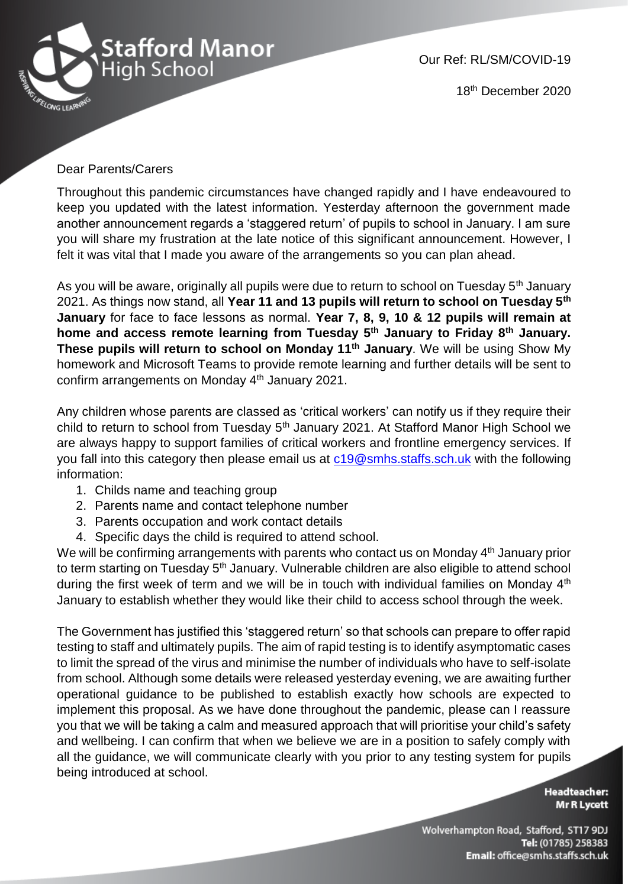

Our Ref: RL/SM/COVID-19

18th December 2020

## Dear Parents/Carers

Throughout this pandemic circumstances have changed rapidly and I have endeavoured to keep you updated with the latest information. Yesterday afternoon the government made another announcement regards a 'staggered return' of pupils to school in January. I am sure you will share my frustration at the late notice of this significant announcement. However, I felt it was vital that I made you aware of the arrangements so you can plan ahead.

As you will be aware, originally all pupils were due to return to school on Tuesday 5<sup>th</sup> January 2021. As things now stand, all **Year 11 and 13 pupils will return to school on Tuesday 5th January** for face to face lessons as normal. **Year 7, 8, 9, 10 & 12 pupils will remain at home and access remote learning from Tuesday 5 th January to Friday 8th January. These pupils will return to school on Monday 11th January**. We will be using Show My homework and Microsoft Teams to provide remote learning and further details will be sent to confirm arrangements on Monday 4<sup>th</sup> January 2021.

Any children whose parents are classed as 'critical workers' can notify us if they require their child to return to school from Tuesday 5<sup>th</sup> January 2021. At Stafford Manor High School we are always happy to support families of critical workers and frontline emergency services. If you fall into this category then please email us at  $c19@smhs.staffs.sch.uk$  with the following information:

- 1. Childs name and teaching group
- 2. Parents name and contact telephone number
- 3. Parents occupation and work contact details
- 4. Specific days the child is required to attend school.

We will be confirming arrangements with parents who contact us on Monday 4<sup>th</sup> January prior to term starting on Tuesday 5<sup>th</sup> January. Vulnerable children are also eligible to attend school during the first week of term and we will be in touch with individual families on Monday 4<sup>th</sup> January to establish whether they would like their child to access school through the week.

The Government has justified this 'staggered return' so that schools can prepare to offer rapid testing to staff and ultimately pupils. The aim of rapid testing is to identify asymptomatic cases to limit the spread of the virus and minimise the number of individuals who have to self-isolate from school. Although some details were released yesterday evening, we are awaiting further operational guidance to be published to establish exactly how schools are expected to implement this proposal. As we have done throughout the pandemic, please can I reassure you that we will be taking a calm and measured approach that will prioritise your child's safety and wellbeing. I can confirm that when we believe we are in a position to safely comply with all the guidance, we will communicate clearly with you prior to any testing system for pupils being introduced at school.

> **Headteacher: Mr R Lycett**

Wolverhampton Road, Stafford, ST17 9DJ Tel: (01785) 258383 Email: office@smhs.staffs.sch.uk